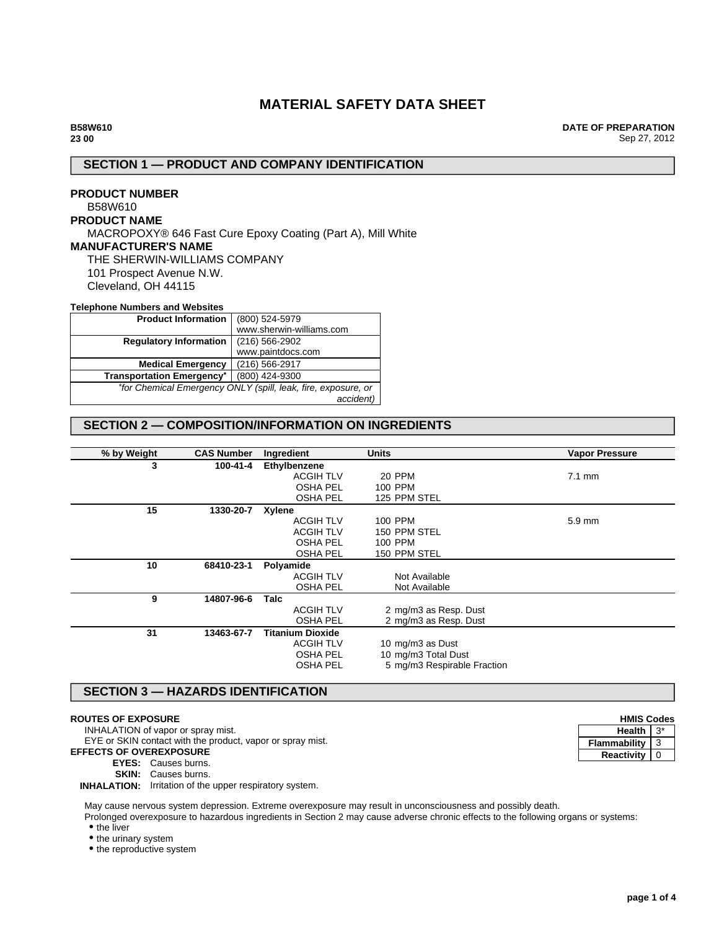# **MATERIAL SAFETY DATA SHEET**

**DATE OF PREPARATION** Sep 27, 2012

# **SECTION 1 — PRODUCT AND COMPANY IDENTIFICATION**

# **PRODUCT NUMBER** B58W610 **PRODUCT NAME** MACROPOXY® 646 Fast Cure Epoxy Coating (Part A), Mill White **MANUFACTURER'S NAME** THE SHERWIN-WILLIAMS COMPANY 101 Prospect Avenue N.W. Cleveland, OH 44115

#### **Telephone Numbers and Websites**

| <b>Product Information</b>                                    | (800) 524-5979           |  |
|---------------------------------------------------------------|--------------------------|--|
|                                                               | www.sherwin-williams.com |  |
| <b>Regulatory Information</b>                                 | $(216)$ 566-2902         |  |
|                                                               | www.paintdocs.com        |  |
| <b>Medical Emergency</b>                                      | (216) 566-2917           |  |
| <b>Transportation Emergency*</b>                              | (800) 424-9300           |  |
| *for Chemical Emergency ONLY (spill, leak, fire, exposure, or |                          |  |
|                                                               | accident)                |  |

# **SECTION 2 — COMPOSITION/INFORMATION ON INGREDIENTS**

| % by Weight | <b>CAS Number</b> | Ingredient       | <b>Units</b>                | <b>Vapor Pressure</b> |
|-------------|-------------------|------------------|-----------------------------|-----------------------|
| 3           | 100-41-4          | Ethylbenzene     |                             |                       |
|             |                   | <b>ACGIH TLV</b> | <b>20 PPM</b>               | $7.1 \text{ mm}$      |
|             |                   | <b>OSHA PEL</b>  | 100 PPM                     |                       |
|             |                   | <b>OSHA PEL</b>  | 125 PPM STEL                |                       |
| 15          | 1330-20-7         | <b>Xylene</b>    |                             |                       |
|             |                   | <b>ACGIH TLV</b> | 100 PPM                     | $5.9 \text{ mm}$      |
|             |                   | <b>ACGIH TLV</b> | 150 PPM STEL                |                       |
|             |                   | <b>OSHA PEL</b>  | 100 PPM                     |                       |
|             |                   | <b>OSHA PEL</b>  | 150 PPM STEL                |                       |
| 10          | 68410-23-1        | Polyamide        |                             |                       |
|             |                   | <b>ACGIH TLV</b> | Not Available               |                       |
|             |                   | <b>OSHA PEL</b>  | Not Available               |                       |
| 9           | 14807-96-6        | Talc             |                             |                       |
|             |                   | <b>ACGIH TLV</b> | 2 mg/m3 as Resp. Dust       |                       |
|             |                   | <b>OSHA PEL</b>  | 2 mg/m3 as Resp. Dust       |                       |
| 31          | 13463-67-7        | Titanium Dioxide |                             |                       |
|             |                   | <b>ACGIH TLV</b> | 10 mg/m3 as Dust            |                       |
|             |                   | <b>OSHA PEL</b>  | 10 mg/m3 Total Dust         |                       |
|             |                   | <b>OSHA PEL</b>  | 5 mg/m3 Respirable Fraction |                       |
|             |                   |                  |                             |                       |

## **SECTION 3 — HAZARDS IDENTIFICATION**

#### **ROUTES OF EXPOSURE**

INHALATION of vapor or spray mist.

EYE or SKIN contact with the product, vapor or spray mist.

#### **EFFECTS OF OVEREXPOSURE**

**EYES:** Causes burns.

**SKIN:** Causes burns.

**INHALATION:** Irritation of the upper respiratory system.

May cause nervous system depression. Extreme overexposure may result in unconsciousness and possibly death.

Prolonged overexposure to hazardous ingredients in Section 2 may cause adverse chronic effects to the following organs or systems: • the liver

• the urinary system

• the reproductive system

| <b>HMIS Codes</b> |   |  |
|-------------------|---|--|
| <b>Health</b>     |   |  |
| Flammability      | 3 |  |
| <b>Reactivity</b> |   |  |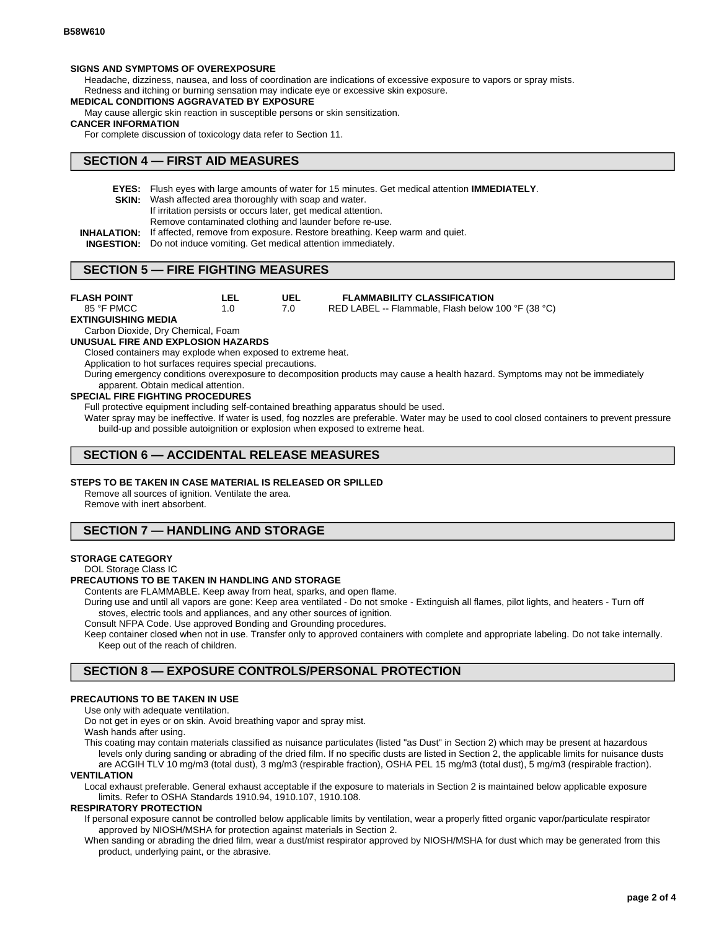#### **SIGNS AND SYMPTOMS OF OVEREXPOSURE**

Headache, dizziness, nausea, and loss of coordination are indications of excessive exposure to vapors or spray mists.

Redness and itching or burning sensation may indicate eye or excessive skin exposure.

# **MEDICAL CONDITIONS AGGRAVATED BY EXPOSURE**

May cause allergic skin reaction in susceptible persons or skin sensitization.

#### **CANCER INFORMATION**

For complete discussion of toxicology data refer to Section 11.

### **SECTION 4 — FIRST AID MEASURES**

- **EYES:** Flush eyes with large amounts of water for 15 minutes. Get medical attention **IMMEDIATELY**.
- **SKIN:** Wash affected area thoroughly with soap and water.
	- If irritation persists or occurs later, get medical attention.

Remove contaminated clothing and launder before re-use.

- **INHALATION:** If affected, remove from exposure. Restore breathing. Keep warm and quiet.
- **INGESTION:** Do not induce vomiting. Get medical attention immediately.

### **SECTION 5 — FIRE FIGHTING MEASURES**

**UEL** 7.0 **LEL** 1.0 **FLASH POINT** 85 °F PMCC **FLAMMABILITY CLASSIFICATION** RED LABEL -- Flammable, Flash below 100 °F (38 °C) **EXTINGUISHING MEDIA** Carbon Dioxide, Dry Chemical, Foam **UNUSUAL FIRE AND EXPLOSION HAZARDS** Closed containers may explode when exposed to extreme heat. Application to hot surfaces requires special precautions. During emergency conditions overexposure to decomposition products may cause a health hazard. Symptoms may not be immediately apparent. Obtain medical attention. **SPECIAL FIRE FIGHTING PROCEDURES**

Full protective equipment including self-contained breathing apparatus should be used.

Water spray may be ineffective. If water is used, fog nozzles are preferable. Water may be used to cool closed containers to prevent pressure build-up and possible autoignition or explosion when exposed to extreme heat.

## **SECTION 6 — ACCIDENTAL RELEASE MEASURES**

#### **STEPS TO BE TAKEN IN CASE MATERIAL IS RELEASED OR SPILLED**

Remove all sources of ignition. Ventilate the area.

Remove with inert absorbent.

## **SECTION 7 — HANDLING AND STORAGE**

#### **STORAGE CATEGORY**

DOL Storage Class IC

#### **PRECAUTIONS TO BE TAKEN IN HANDLING AND STORAGE**

Contents are FLAMMABLE. Keep away from heat, sparks, and open flame.

During use and until all vapors are gone: Keep area ventilated - Do not smoke - Extinguish all flames, pilot lights, and heaters - Turn off stoves, electric tools and appliances, and any other sources of ignition.

Consult NFPA Code. Use approved Bonding and Grounding procedures.

Keep container closed when not in use. Transfer only to approved containers with complete and appropriate labeling. Do not take internally. Keep out of the reach of children.

# **SECTION 8 — EXPOSURE CONTROLS/PERSONAL PROTECTION**

#### **PRECAUTIONS TO BE TAKEN IN USE**

Use only with adequate ventilation.

Do not get in eyes or on skin. Avoid breathing vapor and spray mist.

Wash hands after using.

This coating may contain materials classified as nuisance particulates (listed "as Dust" in Section 2) which may be present at hazardous levels only during sanding or abrading of the dried film. If no specific dusts are listed in Section 2, the applicable limits for nuisance dusts are ACGIH TLV 10 mg/m3 (total dust), 3 mg/m3 (respirable fraction), OSHA PEL 15 mg/m3 (total dust), 5 mg/m3 (respirable fraction).

# **VENTILATION**

Local exhaust preferable. General exhaust acceptable if the exposure to materials in Section 2 is maintained below applicable exposure limits. Refer to OSHA Standards 1910.94, 1910.107, 1910.108.

#### **RESPIRATORY PROTECTION**

If personal exposure cannot be controlled below applicable limits by ventilation, wear a properly fitted organic vapor/particulate respirator approved by NIOSH/MSHA for protection against materials in Section 2.

When sanding or abrading the dried film, wear a dust/mist respirator approved by NIOSH/MSHA for dust which may be generated from this product, underlying paint, or the abrasive.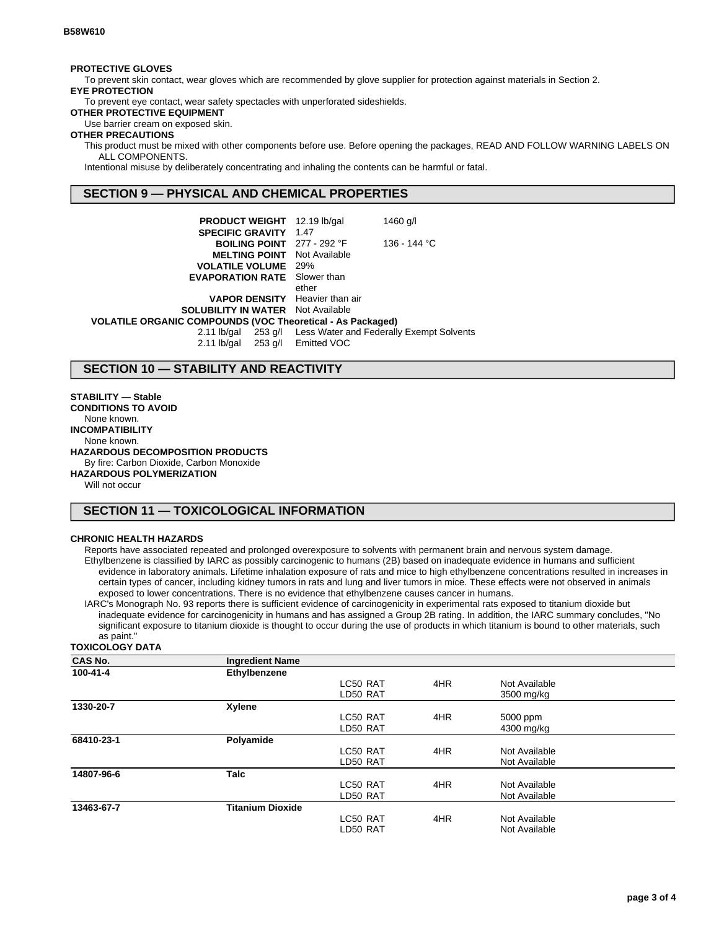#### **PROTECTIVE GLOVES**

To prevent skin contact, wear gloves which are recommended by glove supplier for protection against materials in Section 2. **EYE PROTECTION**

To prevent eye contact, wear safety spectacles with unperforated sideshields.

**OTHER PROTECTIVE EQUIPMENT**

Use barrier cream on exposed skin.

### **OTHER PRECAUTIONS**

This product must be mixed with other components before use. Before opening the packages, READ AND FOLLOW WARNING LABELS ON ALL COMPONENTS.

Intentional misuse by deliberately concentrating and inhaling the contents can be harmful or fatal.

## **SECTION 9 — PHYSICAL AND CHEMICAL PROPERTIES**

| <b>PRODUCT WEIGHT</b> 12.19 lb/gal                           |       | 1460 g/l     |
|--------------------------------------------------------------|-------|--------------|
| <b>SPECIFIC GRAVITY 1.47</b>                                 |       |              |
| <b>BOILING POINT</b> $277 - 292$ °F                          |       | 136 - 144 °C |
| <b>MELTING POINT</b> Not Available                           |       |              |
| <b>VOLATILE VOLUME</b> 29%                                   |       |              |
| <b>EVAPORATION RATE</b> Slower than                          |       |              |
|                                                              | ether |              |
| <b>VAPOR DENSITY</b> Heavier than air                        |       |              |
| <b>SOLUBILITY IN WATER</b> Not Available                     |       |              |
| VOLATILE ORGANIC COMPOUNDS (VOC Theoretical - As Packaged)   |       |              |
| 2.11 lb/gal 253 g/l Less Water and Federally Exempt Solvents |       |              |
| 2.11 lb/gal 253 g/l Emitted VOC                              |       |              |

### **SECTION 10 — STABILITY AND REACTIVITY**

#### **STABILITY — Stable**

**CONDITIONS TO AVOID** None known. **INCOMPATIBILITY** None known. **HAZARDOUS DECOMPOSITION PRODUCTS** By fire: Carbon Dioxide, Carbon Monoxide **HAZARDOUS POLYMERIZATION**

Will not occur

### **SECTION 11 — TOXICOLOGICAL INFORMATION**

#### **CHRONIC HEALTH HAZARDS**

Reports have associated repeated and prolonged overexposure to solvents with permanent brain and nervous system damage. Ethylbenzene is classified by IARC as possibly carcinogenic to humans (2B) based on inadequate evidence in humans and sufficient evidence in laboratory animals. Lifetime inhalation exposure of rats and mice to high ethylbenzene concentrations resulted in increases in certain types of cancer, including kidney tumors in rats and lung and liver tumors in mice. These effects were not observed in animals exposed to lower concentrations. There is no evidence that ethylbenzene causes cancer in humans.

IARC's Monograph No. 93 reports there is sufficient evidence of carcinogenicity in experimental rats exposed to titanium dioxide but inadequate evidence for carcinogenicity in humans and has assigned a Group 2B rating. In addition, the IARC summary concludes, "No significant exposure to titanium dioxide is thought to occur during the use of products in which titanium is bound to other materials, such as paint."

#### **TOXICOLOGY DATA**

| <b>CAS No.</b> | <b>Ingredient Name</b>  |          |     |               |  |
|----------------|-------------------------|----------|-----|---------------|--|
| 100-41-4       | Ethylbenzene            |          |     |               |  |
|                |                         | LC50 RAT | 4HR | Not Available |  |
|                |                         | LD50 RAT |     | 3500 mg/kg    |  |
| 1330-20-7      | Xylene                  |          |     |               |  |
|                |                         | LC50 RAT | 4HR | 5000 ppm      |  |
|                |                         | LD50 RAT |     | 4300 mg/kg    |  |
| 68410-23-1     | Polyamide               |          |     |               |  |
|                |                         | LC50 RAT | 4HR | Not Available |  |
|                |                         | LD50 RAT |     | Not Available |  |
| 14807-96-6     | <b>Talc</b>             |          |     |               |  |
|                |                         | LC50 RAT | 4HR | Not Available |  |
|                |                         | LD50 RAT |     | Not Available |  |
| 13463-67-7     | <b>Titanium Dioxide</b> |          |     |               |  |
|                |                         | LC50 RAT | 4HR | Not Available |  |
|                |                         | LD50 RAT |     | Not Available |  |